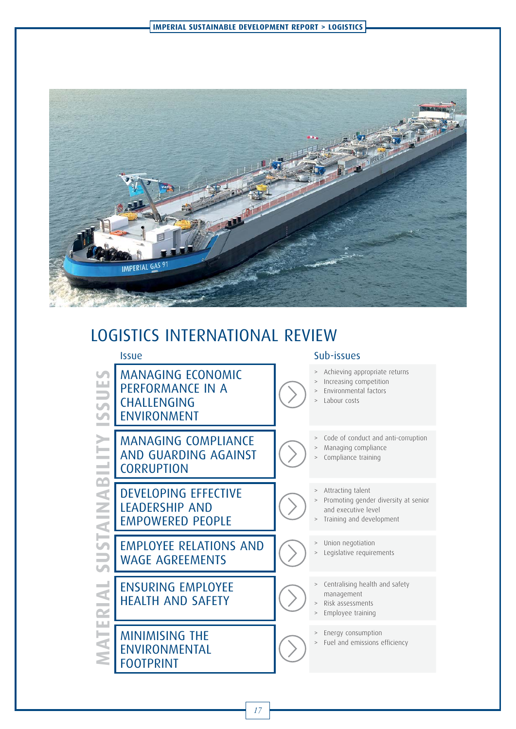

## LOGISTICS INTERNATIONAL REVIEW



MANAGING ECONOMIC<br>
PERFORMANCE IN A<br>
CHALLENGING<br>
ENVIRONMENT<br>
MANAGING COMPLIAN<br>
AND GUARDING AGAIN<br>
CORRUPTION<br>
DEVELOPING EFFECTIVE<br>
LEADERSHIP AND<br>
EMPLOYEE RELATIONS<br>
WAGE AGREEMENTS<br>
HEALTH AND SAFETY<br>
MINIMISING THE PERFORMANCE IN A CHALLENGING ENVIRONMENT MANAGING COMPLIANCE AND GUARDING AGAINST **CORRUPTION** 

DEVELOPING EFFECTIVE LEADERSHIP AND EMPOWERED PEOPLE

EMPLOYEE RELATIONS AND WAGE AGREEMENTS

ENSURING EMPLOYEE HEALTH AND SAFETY

MINIMISING THE ENVIRONMENTAL FOOTPRINT

## Issue Sub-issues

- Achieving appropriate returns
- Increasing competition
- > Environmental factors
- Labour costs

Code of conduct and anti-corruption

- > Managing compliance
- Compliance training
- Attracting talent
- Promoting gender diversity at senior and executive level
- Training and development
- > Union negotiation
- Legislative requirements
- > Centralising health and safety
- management
- > Risk assessments > Employee training
- 
- > Energy consumption
- > Fuel and emissions efficiency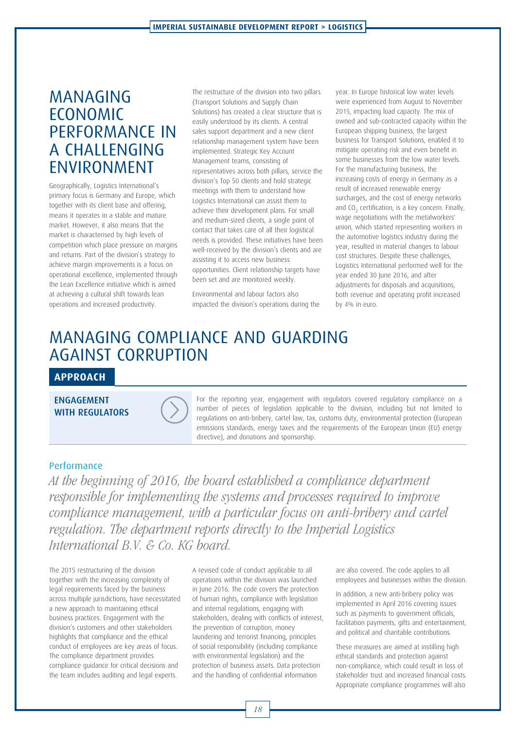## MANAGING ECONOMIC PERFORMANCE IN A CHALLENGING ENVIRONMENT

Geographically, Logistics International's primary focus is Germany and Europe, which together with its client base and offering, means it operates in a stable and mature market. However, it also means that the market is characterised by high levels of competition which place pressure on margins and returns. Part of the division's strategy to achieve margin improvements is a focus on operational excellence, implemented through the Lean Excellence initiative which is aimed at achieving a cultural shift towards lean operations and increased productivity.

The restructure of the division into two pillars (Transport Solutions and Supply Chain Solutions) has created a clear structure that is easily understood by its clients. A central sales support department and a new client relationship management system have been implemented. Strategic Key Account Management teams, consisting of representatives across both pillars, service the division's Top 50 clients and hold strategic meetings with them to understand how Logistics International can assist them to achieve their development plans. For small and medium-sized clients, a single point of contact that takes care of all their logistical needs is provided. These initiatives have been well-received by the division's clients and are assisting it to access new business opportunities. Client relationship targets have been set and are monitored weekly.

Environmental and labour factors also impacted the division's operations during the year. In Europe historical low water levels were experienced from August to November 2015, impacting load capacity. The mix of owned and sub-contracted capacity within the European shipping business, the largest business for Transport Solutions, enabled it to mitigate operating risk and even benefit in some businesses from the low water levels. For the manufacturing business, the increasing costs of energy in Germany as a result of increased renewable energy surcharges, and the cost of energy networks and  $CO<sub>2</sub>$  certification, is a key concern. Finally, wage negotiations with the metalworkers' union, which started representing workers in the automotive logistics industry during the year, resulted in material changes to labour cost structures. Despite these challenges, Logistics International performed well for the year ended 30 June 2016, and after adjustments for disposals and acquisitions, both revenue and operating profit increased by 4% in euro.

## MANAGING COMPLIANCE AND GUARDING AGAINST CORRUPTION

## **APPROACH**

ENGAGEMENT<br>WITH REGULATORS



For the reporting year, engagement with regulators covered regulatory compliance on a number of pieces of legislation applicable to the division, including but not limited to regulations on anti-bribery, cartel law, tax, customs duty, environmental protection (European emissions standards, energy taxes and the requirements of the European Union (EU) energy directive), and donations and sponsorship.

### Performance

At the beginning of 2016, the board established a compliance department responsible for implementing the systems and processes required to improve compliance management, with a particular focus on anti-bribery and cartel regulation. The department reports directly to the Imperial Logistics International B.V. & Co. KG board.

The 2015 restructuring of the division together with the increasing complexity of legal requirements faced by the business across multiple jurisdictions, have necessitated a new approach to maintaining ethical business practices. Engagement with the division's customers and other stakeholders highlights that compliance and the ethical conduct of employees are key areas of focus. The compliance department provides compliance guidance for critical decisions and the team includes auditing and legal experts.

A revised code of conduct applicable to all operations within the division was launched in June 2016. The code covers the protection of human rights, compliance with legislation and internal regulations, engaging with stakeholders, dealing with conflicts of interest, the prevention of corruption, money laundering and terrorist financing, principles of social responsibility (including compliance with environmental legislation) and the protection of business assets. Data protection and the handling of confidential information

are also covered. The code applies to all employees and businesses within the division.

In addition, a new anti-bribery policy was implemented in April 2016 covering issues such as payments to government officials, facilitation payments, gifts and entertainment, and political and charitable contributions.

These measures are aimed at instilling high ethical standards and protection against non-compliance, which could result in loss of stakeholder trust and increased financial costs. Appropriate compliance programmes will also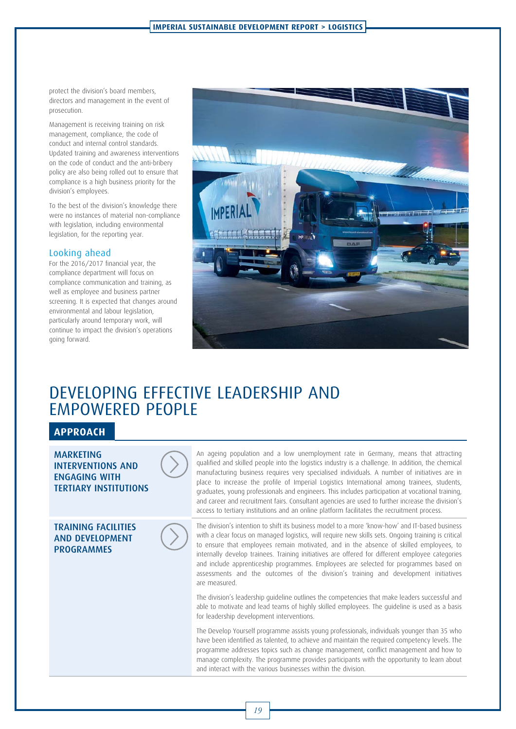protect the division's board members, directors and management in the event of prosecution.

Management is receiving training on risk management, compliance, the code of conduct and internal control standards. Updated training and awareness interventions on the code of conduct and the anti-bribery policy are also being rolled out to ensure that compliance is a high business priority for the division's employees.

To the best of the division's knowledge there were no instances of material non-compliance with legislation, including environmental legislation, for the reporting year.

### Looking ahead

For the 2016/2017 financial year, the compliance department will focus on compliance communication and training, as well as employee and business partner screening. It is expected that changes around environmental and labour legislation, particularly around temporary work, will continue to impact the division's operations going forward.



## DEVELOPING EFFECTIVE LEADERSHIP AND EMPOWERED PEOPLE

## **APPROACH**

**MARKETING INTERVENTIONS AND ENGAGING WITH TERTIARY INSTITUTIONS** 

**TRAINING FACILITIES** AND DEVELOPMENT PROGRAMMES



The division's intention to shift its business model to a more 'know-how' and IT-based business with a clear focus on managed logistics, will require new skills sets. Ongoing training is critical to ensure that employees remain motivated, and in the absence of skilled employees, to internally develop trainees. Training initiatives are offered for different employee categories and include apprenticeship programmes. Employees are selected for programmes based on assessments and the outcomes of the division's training and development initiatives are measured.

The division's leadership guideline outlines the competencies that make leaders successful and able to motivate and lead teams of highly skilled employees. The guideline is used as a basis for leadership development interventions.

The Develop Yourself programme assists young professionals, individuals younger than 35 who have been identified as talented, to achieve and maintain the required competency levels. The programme addresses topics such as change management, conflict management and how to manage complexity. The programme provides participants with the opportunity to learn about and interact with the various businesses within the division.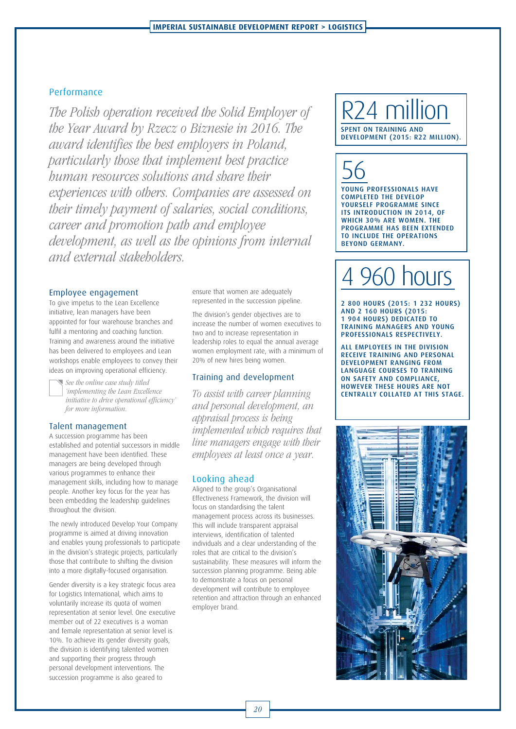## Performance

The Polish operation received the Solid Employer of the Year Award by Rzecz o Biznesie in 2016. The award identifies the best employers in Poland, particularly those that implement best practice human resources solutions and share their experiences with others. Companies are assessed on their timely payment of salaries, social conditions, career and promotion path and employee development, as well as the opinions from internal and external stakeholders.

### Employee engagement

To give impetus to the Lean Excellence initiative, lean managers have been appointed for four warehouse branches and fulfil a mentoring and coaching function. Training and awareness around the initiative has been delivered to employees and Lean workshops enable employees to convey their ideas on improving operational efficiency.

See the online case study titled 'implementing the Lean Excellence initiative to drive operational efficiency' for more information.

### Talent management

A succession programme has been established and potential successors in middle management have been identified. These managers are being developed through various programmes to enhance their management skills, including how to manage people. Another key focus for the year has been embedding the leadership guidelines throughout the division.

The newly introduced Develop Your Company programme is aimed at driving innovation and enables young professionals to participate in the division's strategic projects, particularly those that contribute to shifting the division into a more digitally-focused organisation.

Gender diversity is a key strategic focus area for Logistics International, which aims to voluntarily increase its quota of women representation at senior level. One executive member out of 22 executives is a woman and female representation at senior level is 10%. To achieve its gender diversity goals, the division is identifying talented women and supporting their progress through personal development interventions. The succession programme is also geared to

ensure that women are adequately represented in the succession pipeline.

The division's gender objectives are to increase the number of women executives to two and to increase representation in leadership roles to equal the annual average women employment rate, with a minimum of 20% of new hires being women.

### Training and development

To assist with career planning and personal development, an appraisal process is being implemented which requires that line managers engage with their employees at least once a year.

### Looking ahead

Aligned to the group's Organisational Effectiveness Framework, the division will focus on standardising the talent management process across its businesses. This will include transparent appraisal interviews, identification of talented individuals and a clear understanding of the roles that are critical to the division's sustainability. These measures will inform the succession planning programme. Being able to demonstrate a focus on personal development will contribute to employee retention and attraction through an enhanced employer brand.

## R<sub>24</sub> million DEVELOPMENT (2015: R22 MILLION).

DEVELOPMENT (2015: R22 MILLION).

56 YOUNG PROFESSIONALS HAVE<br>COMPLETED THE DEVELOP YOURSELF PROGRAMME SINCE ITS INTRODUCTION IN 2014, OF WHICH 30% ARE WOMEN. THE PROGRAMME HAS BEEN EXTENDED TO INCLUDE THE OPERATIONS **BEYOND GERMANY.** BEYOND GERMANY.

# hours

2 800 HOURS (2015: 1 232 HOURS) 1 904 HOURS) DEDICATED TO TRAINING MANAGERS AND YOUNG PROFESSIONALS RESPECTIVELY.

**ALL EMPLOYEES IN THE DIVISION** RECEIVE TRAINING AND PERSONAL DEVELOPMENT RANGING FROM LANGUAGE COURSES TO TRAINING ON SAFETY AND COMPLIANCE, HOWEVER THESE HOURS ARE NOT CENTRALLY COLLATED AT THIS STAGE.

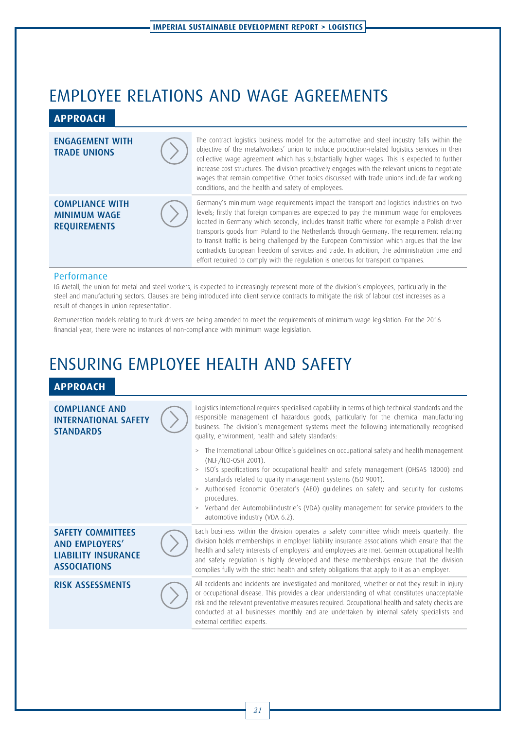## EMPLOYEE RELATIONS AND WAGE AGREEMENTS

## **APPROACH**

#### The contract logistics business model for the automotive and steel industry falls within the **ENGAGEMENT WITH** objective of the metalworkers' union to include production-related logistics services in their **TRADE UNIONS** collective wage agreement which has substantially higher wages. This is expected to further increase cost structures. The division proactively engages with the relevant unions to negotiate wages that remain competitive. Other topics discussed with trade unions include fair working conditions, and the health and safety of employees. **COMPLIANCE WITH** Germany's minimum wage requirements impact the transport and logistics industries on two levels; firstly that foreign companies are expected to pay the minimum wage for employees **MINIMUM WAGE** located in Germany which secondly, includes transit traffic where for example a Polish driver REQUIREMENTS transports goods from Poland to the Netherlands through Germany. The requirement relating REQUIREMENTS to transit traffic is being challenged by the European Commission which argues that the law contradicts European freedom of services and trade. In addition, the administration time and effort required to comply with the regulation is onerous for transport companies.

### **Performance**

IG Metall, the union for metal and steel workers, is expected to increasingly represent more of the division's employees, particularly in the steel and manufacturing sectors. Clauses are being introduced into client service contracts to mitigate the risk of labour cost increases as a result of changes in union representation.

Remuneration models relating to truck drivers are being amended to meet the requirements of minimum wage legislation. For the 2016 financial year, there were no instances of non-compliance with minimum wage legislation.

## ENSURING EMPLOYEE HEALTH AND SAFETY

## **APPROACH**

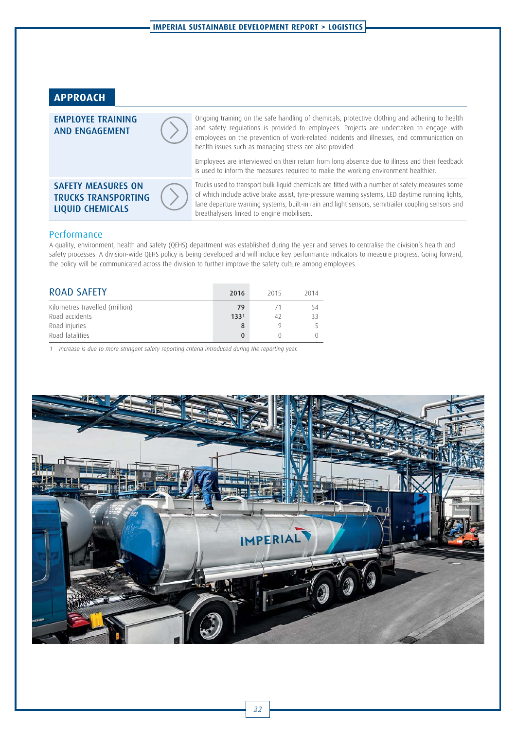



### Performance

A quality, environment, health and safety (QEHS) department was established during the year and serves to centralise the division's health and safety processes. A division-wide QEHS policy is being developed and will include key performance indicators to measure progress. Going forward, the policy will be communicated across the division to further improve the safety culture among employees.

| <b>ROAD SAFETY</b>             | 2016             | 2015 | 2014 |
|--------------------------------|------------------|------|------|
| Kilometres travelled (million) | 79               | - 71 |      |
| Road accidents                 | 133 <sup>1</sup> | 42   | ろろ   |
| Road injuries                  |                  |      |      |
| Road fatalities                |                  |      |      |

1 Increase is due to more stringent safety reporting criteria introduced during the reporting year.

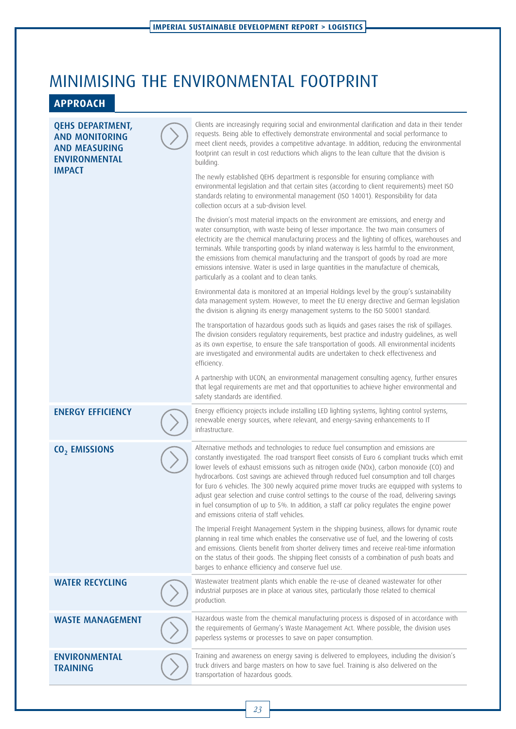## MINIMISING THE ENVIRONMENTAL FOOTPRINT

## **APPROACH**

| <b>QEHS DEPARTMENT,</b><br><b>AND MONITORING</b><br><b>AND MEASURING</b><br><b>ENVIRONMENTAL</b><br><b>IMPACT</b> | Clients are increasingly requiring social and environmental clarification and data in their tender<br>requests. Being able to effectively demonstrate environmental and social performance to<br>meet client needs, provides a competitive advantage. In addition, reducing the environmental<br>footprint can result in cost reductions which aligns to the lean culture that the division is<br>building.<br>The newly established QEHS department is responsible for ensuring compliance with<br>environmental legislation and that certain sites (according to client requirements) meet ISO<br>standards relating to environmental management (ISO 14001). Responsibility for data<br>collection occurs at a sub-division level.<br>The division's most material impacts on the environment are emissions, and energy and<br>water consumption, with waste being of lesser importance. The two main consumers of<br>electricity are the chemical manufacturing process and the lighting of offices, warehouses and<br>terminals. While transporting goods by inland waterway is less harmful to the environment,<br>the emissions from chemical manufacturing and the transport of goods by road are more<br>emissions intensive. Water is used in large quantities in the manufacture of chemicals,<br>particularly as a coolant and to clean tanks.<br>Environmental data is monitored at an Imperial Holdings level by the group's sustainability<br>data management system. However, to meet the EU energy directive and German legislation<br>the division is aligning its energy management systems to the ISO 50001 standard.<br>The transportation of hazardous goods such as liquids and gases raises the risk of spillages.<br>The division considers regulatory requirements, best practice and industry quidelines, as well<br>as its own expertise, to ensure the safe transportation of goods. All environmental incidents<br>are investigated and environmental audits are undertaken to check effectiveness and<br>efficiency.<br>A partnership with UCON, an environmental management consulting agency, further ensures<br>that legal requirements are met and that opportunities to achieve higher environmental and |
|-------------------------------------------------------------------------------------------------------------------|----------------------------------------------------------------------------------------------------------------------------------------------------------------------------------------------------------------------------------------------------------------------------------------------------------------------------------------------------------------------------------------------------------------------------------------------------------------------------------------------------------------------------------------------------------------------------------------------------------------------------------------------------------------------------------------------------------------------------------------------------------------------------------------------------------------------------------------------------------------------------------------------------------------------------------------------------------------------------------------------------------------------------------------------------------------------------------------------------------------------------------------------------------------------------------------------------------------------------------------------------------------------------------------------------------------------------------------------------------------------------------------------------------------------------------------------------------------------------------------------------------------------------------------------------------------------------------------------------------------------------------------------------------------------------------------------------------------------------------------------------------------------------------------------------------------------------------------------------------------------------------------------------------------------------------------------------------------------------------------------------------------------------------------------------------------------------------------------------------------------------------------------------------------------------------------------------------------------------------------------|
| <b>ENERGY EFFICIENCY</b>                                                                                          | safety standards are identified.<br>Energy efficiency projects include installing LED lighting systems, lighting control systems,<br>renewable energy sources, where relevant, and energy-saving enhancements to IT<br>infrastructure.                                                                                                                                                                                                                                                                                                                                                                                                                                                                                                                                                                                                                                                                                                                                                                                                                                                                                                                                                                                                                                                                                                                                                                                                                                                                                                                                                                                                                                                                                                                                                                                                                                                                                                                                                                                                                                                                                                                                                                                                       |
| CO <sub>2</sub> EMISSIONS                                                                                         | Alternative methods and technologies to reduce fuel consumption and emissions are<br>constantly investigated. The road transport fleet consists of Euro 6 compliant trucks which emit<br>lower levels of exhaust emissions such as nitrogen oxide (NOx), carbon monoxide (CO) and<br>hydrocarbons. Cost savings are achieved through reduced fuel consumption and toll charges<br>for Euro 6 vehicles. The 300 newly acquired prime mover trucks are equipped with systems to<br>adjust gear selection and cruise control settings to the course of the road, delivering savings<br>in fuel consumption of up to 5%. In addition, a staff car policy regulates the engine power<br>and emissions criteria of staff vehicles.<br>The Imperial Freight Management System in the shipping business, allows for dynamic route<br>planning in real time which enables the conservative use of fuel, and the lowering of costs<br>and emissions. Clients benefit from shorter delivery times and receive real-time information<br>on the status of their goods. The shipping fleet consists of a combination of push boats and                                                                                                                                                                                                                                                                                                                                                                                                                                                                                                                                                                                                                                                                                                                                                                                                                                                                                                                                                                                                                                                                                                                     |
| <b>WATER RECYCLING</b>                                                                                            | barges to enhance efficiency and conserve fuel use.<br>Wastewater treatment plants which enable the re-use of cleaned wastewater for other<br>industrial purposes are in place at various sites, particularly those related to chemical<br>production.                                                                                                                                                                                                                                                                                                                                                                                                                                                                                                                                                                                                                                                                                                                                                                                                                                                                                                                                                                                                                                                                                                                                                                                                                                                                                                                                                                                                                                                                                                                                                                                                                                                                                                                                                                                                                                                                                                                                                                                       |
| <b>WASTE MANAGEMENT</b>                                                                                           | Hazardous waste from the chemical manufacturing process is disposed of in accordance with<br>the requirements of Germany's Waste Management Act. Where possible, the division uses<br>paperless systems or processes to save on paper consumption.                                                                                                                                                                                                                                                                                                                                                                                                                                                                                                                                                                                                                                                                                                                                                                                                                                                                                                                                                                                                                                                                                                                                                                                                                                                                                                                                                                                                                                                                                                                                                                                                                                                                                                                                                                                                                                                                                                                                                                                           |
| <b>ENVIRONMENTAL</b><br><b>TRAINING</b>                                                                           | Training and awareness on energy saving is delivered to employees, including the division's<br>truck drivers and barge masters on how to save fuel. Training is also delivered on the<br>transportation of hazardous goods.                                                                                                                                                                                                                                                                                                                                                                                                                                                                                                                                                                                                                                                                                                                                                                                                                                                                                                                                                                                                                                                                                                                                                                                                                                                                                                                                                                                                                                                                                                                                                                                                                                                                                                                                                                                                                                                                                                                                                                                                                  |